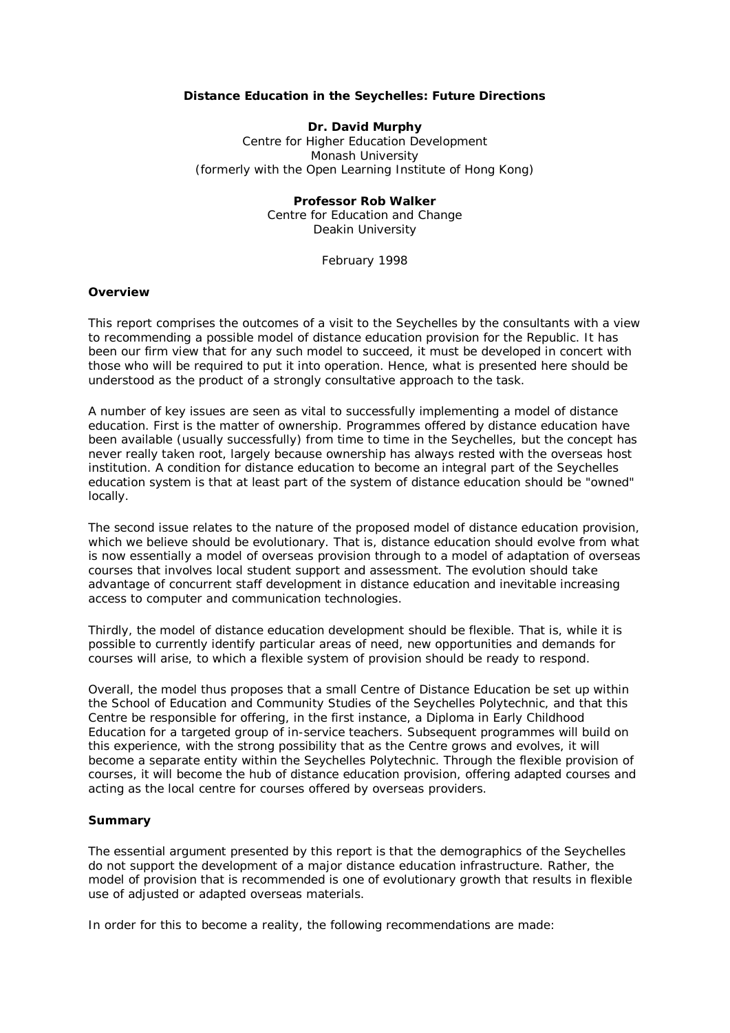## *Distance Education in the Seychelles: Future Directions*

## **Dr. David Murphy**

Centre for Higher Education Development Monash University (formerly with the Open Learning Institute of Hong Kong)

# **Professor Rob Walker**

Centre for Education and Change Deakin University

February 1998

#### **Overview**

This report comprises the outcomes of a visit to the Seychelles by the consultants with a view to recommending a possible model of distance education provision for the Republic. It has been our firm view that for any such model to succeed, it must be developed in concert with those who will be required to put it into operation. Hence, what is presented here should be understood as the product of a strongly consultative approach to the task.

A number of key issues are seen as vital to successfully implementing a model of distance education. First is the matter of *ownership*. Programmes offered by distance education have been available (usually successfully) from time to time in the Seychelles, but the concept has never really taken root, largely because ownership has always rested with the overseas host institution. A condition for distance education to become an integral part of the Seychelles education system is that at least part of the system of distance education should be "owned" locally.

The second issue relates to the nature of the proposed model of distance education provision, which we believe should be *evolutionary*. That is, distance education should evolve from what is now essentially a model of overseas provision through to a model of adaptation of overseas courses that involves local student support and assessment. The evolution should take advantage of concurrent staff development in distance education and inevitable increasing access to computer and communication technologies.

Thirdly, the model of distance education development should be *flexible*. That is, while it is possible to currently identify particular areas of need, new opportunities and demands for courses will arise, to which a flexible system of provision should be ready to respond.

Overall, the model thus proposes that a small Centre of Distance Education be set up within the School of Education and Community Studies of the Seychelles Polytechnic, and that this Centre be responsible for offering, in the first instance, a Diploma in Early Childhood Education for a targeted group of in-service teachers. Subsequent programmes will build on this experience, with the strong possibility that as the Centre grows and evolves, it will become a separate entity within the Seychelles Polytechnic. Through the flexible provision of courses, it will become the hub of distance education provision, offering adapted courses and acting as the local centre for courses offered by overseas providers.

## **Summary**

The essential argument presented by this report is that the demographics of the Seychelles do not support the development of a major distance education infrastructure. Rather, the model of provision that is recommended is one of evolutionary growth that results in flexible use of adjusted or adapted overseas materials.

In order for this to become a reality, the following recommendations are made: